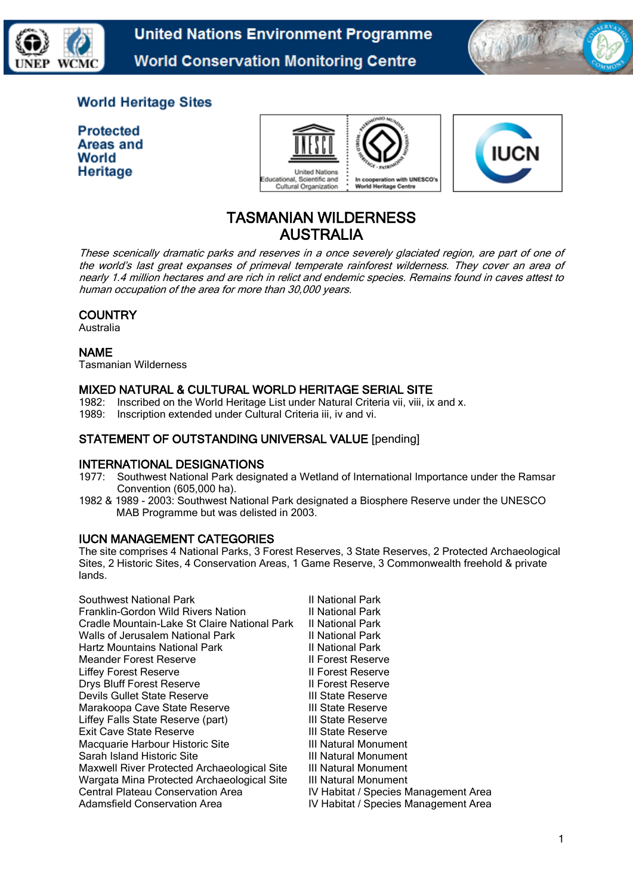

**United Nations Environment Programme World Conservation Monitoring Centre** 



# **World Heritage Sites**

**Protected** Areas and World **Heritage** 





# TASMANIAN WILDERNESS AUSTRALIA

These scenically dramatic parks and reserves in a once severely glaciated region, are part of one of the world's last great expanses of primeval temperate rainforest wilderness. They cover an area of nearly 1.4 million hectares and are rich in relict and endemic species. Remains found in caves attest to human occupation of the area for more than 30,000 years.

# **COUNTRY**

Australia

# NAME

Tasmanian Wilderness

# MIXED NATURAL & CULTURAL WORLD HERITAGE SERIAL SITE

1982: Inscribed on the World Heritage List under Natural Criteria vii, viii, ix and x. 1989: Inscription extended under Cultural Criteria iii, iv and vi.

# STATEMENT OF OUTSTANDING UNIVERSAL VALUE [pending]

# INTERNATIONAL DESIGNATIONS

- 1977: Southwest National Park designated a Wetland of International Importance under the Ramsar Convention (605,000 ha).
- 1982 & 1989 2003: Southwest National Park designated a Biosphere Reserve under the UNESCO MAB Programme but was delisted in 2003.

# IUCN MANAGEMENT CATEGORIES

The site comprises 4 National Parks, 3 Forest Reserves, 3 State Reserves, 2 Protected Archaeological Sites, 2 Historic Sites, 4 Conservation Areas, 1 Game Reserve, 3 Commonwealth freehold & private lands.

| Southwest National Park                      | II National Park                     |
|----------------------------------------------|--------------------------------------|
| Franklin-Gordon Wild Rivers Nation           | II National Park                     |
| Cradle Mountain-Lake St Claire National Park | II National Park                     |
| Walls of Jerusalem National Park             | II National Park                     |
| <b>Hartz Mountains National Park</b>         | II National Park                     |
| Meander Forest Reserve                       | <b>II Forest Reserve</b>             |
| Liffey Forest Reserve                        | Il Forest Reserve                    |
| <b>Drys Bluff Forest Reserve</b>             | Il Forest Reserve                    |
| Devils Gullet State Reserve                  | III State Reserve                    |
| Marakoopa Cave State Reserve                 | III State Reserve                    |
| Liffey Falls State Reserve (part)            | III State Reserve                    |
| Exit Cave State Reserve                      | III State Reserve                    |
| Macquarie Harbour Historic Site              | III Natural Monument                 |
| Sarah Island Historic Site                   | III Natural Monument                 |
| Maxwell River Protected Archaeological Site  | III Natural Monument                 |
| Wargata Mina Protected Archaeological Site   | III Natural Monument                 |
| Central Plateau Conservation Area            | IV Habitat / Species Management Area |
| <b>Adamsfield Conservation Area</b>          | IV Habitat / Species Management Area |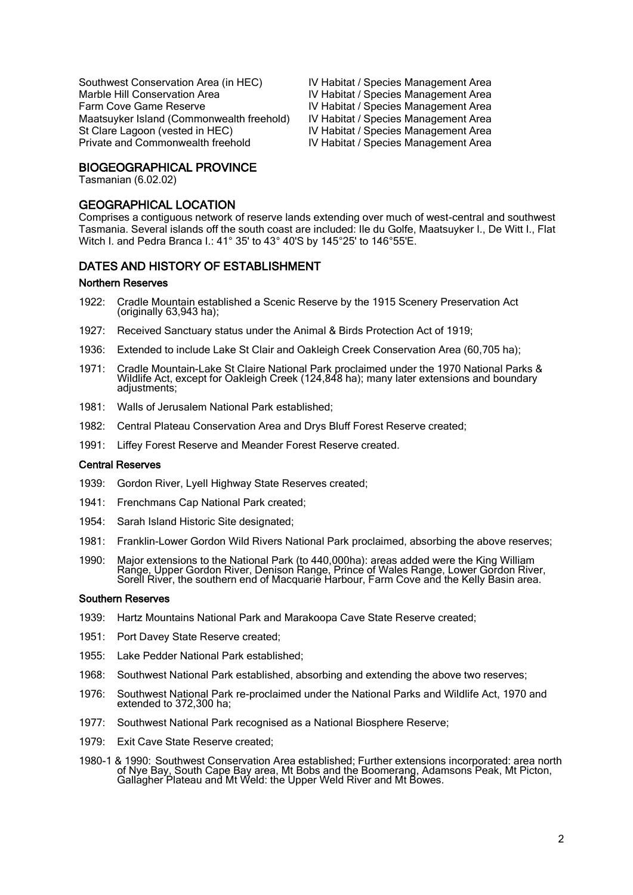Southwest Conservation Area (in HEC) <br>IV Habitat / Species Management Area<br>IV Habitat / Species Management Area Farm Cove Game Reserve **IV Habitat / Species Management Area** Maatsuyker Island (Commonwealth freehold) IV Habitat / Species Management Area St Clare Lagoon (vested in HEC) IV Habitat / Species Management Area Private and Commonwealth freehold **IV Habitat / Species Management Area** 

IV Habitat / Species Management Area

#### BIOGEOGRAPHICAL PROVINCE

Tasmanian (6.02.02)

#### GEOGRAPHICAL LOCATION

Comprises a contiguous network of reserve lands extending over much of west-central and southwest Tasmania. Several islands off the south coast are included: Ile du Golfe, Maatsuyker I., De Witt I., Flat Witch I. and Pedra Branca I.: 41° 35' to 43° 40'S by 145°25' to 146°55'E.

#### DATES AND HISTORY OF ESTABLISHMENT .<br>.

#### Northern Reserves

- 1922: Cradle Mountain established a Scenic Reserve by the 1915 Scenery Preservation Act (originally 63,943 ha);
- 1927: Received Sanctuary status under the Animal & Birds Protection Act of 1919;
- 1936: Extended to include Lake St Clair and Oakleigh Creek Conservation Area (60,705 ha);
- 1971: Cradle Mountain-Lake St Claire National Park proclaimed under the 1970 National Parks & Wildlife Act, except for Oakleigh Creek (124,848 ha); many later extensions and boundary adjustments:
- 1981: Walls of Jerusalem National Park established;
- 1982: Central Plateau Conservation Area and Drys Bluff Forest Reserve created;
- 1991: Liffey Forest Reserve and Meander Forest Reserve created.

#### Central Reserves

- 1939: Gordon River, Lyell Highway State Reserves created;
- 1941: Frenchmans Cap National Park created;
- 1954: Sarah Island Historic Site designated;
- 1981: Franklin-Lower Gordon Wild Rivers National Park proclaimed, absorbing the above reserves;
- 1990: Major extensions to the National Park (to 440,000ha): areas added were the King William Range, Upper Gordon River, Denison Range, Prince of Wales Range, Lower Gordon River, Sorell River, the southern end of Macquarie Harbour, Farm Cove and the Kelly Basin area.

#### Southern Reserves

- 1939: Hartz Mountains National Park and Marakoopa Cave State Reserve created;
- 1951: Port Davey State Reserve created;
- 1955: Lake Pedder National Park established;
- 1968: Southwest National Park established, absorbing and extending the above two reserves;
- 1976: Southwest National Park re-proclaimed under the National Parks and Wildlife Act, 1970 and extended to 372,300 ha;
- 1977: Southwest National Park recognised as a National Biosphere Reserve;
- 1979: Exit Cave State Reserve created;
- 1980-1 & 1990: Southwest Conservation Area established; Further extensions incorporated: area north of Nye Bay, South Cape Bay area, Mt Bobs and the Boomerang, Adamsons Peak, Mt Picton, Gallagher Plateau and Mt Weld: the Upper Weld River and Mt Bowes.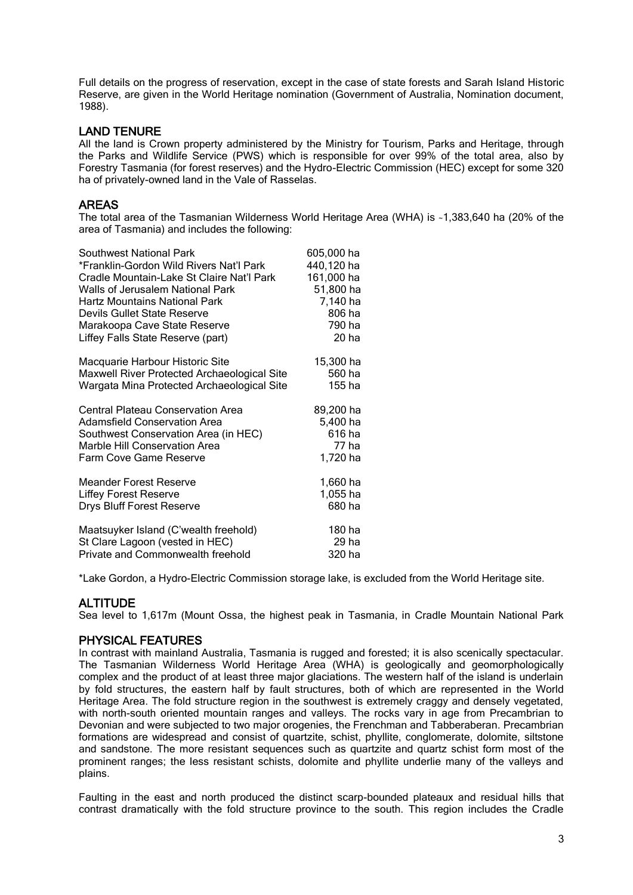Full details on the progress of reservation, except in the case of state forests and Sarah Island Historic Reserve, are given in the World Heritage nomination (Government of Australia, Nomination document, 1988).

#### LAND TENURE

All the land is Crown property administered by the Ministry for Tourism, Parks and Heritage, through the Parks and Wildlife Service (PWS) which is responsible for over 99% of the total area, also by Forestry Tasmania (for forest reserves) and the Hydro-Electric Commission (HEC) except for some 320 ha of privately-owned land in the Vale of Rasselas.

### AREAS

The total area of the Tasmanian Wilderness World Heritage Area (WHA) is ~1,383,640 ha (20% of the area of Tasmania) and includes the following:

| <b>Southwest National Park</b>              | 605,000 ha |
|---------------------------------------------|------------|
| *Franklin-Gordon Wild Rivers Nat'l Park     | 440,120 ha |
| Cradle Mountain-Lake St Claire Nat'l Park   | 161,000 ha |
| Walls of Jerusalem National Park            | 51,800 ha  |
| <b>Hartz Mountains National Park</b>        | 7,140 ha   |
| Devils Gullet State Reserve                 | 806 ha     |
| Marakoopa Cave State Reserve                | 790 ha     |
| Liffey Falls State Reserve (part)           | 20 ha      |
| Macquarie Harbour Historic Site             | 15,300 ha  |
| Maxwell River Protected Archaeological Site | 560 ha     |
| Wargata Mina Protected Archaeological Site  | 155 ha     |
| <b>Central Plateau Conservation Area</b>    | 89,200 ha  |
| <b>Adamsfield Conservation Area</b>         | 5,400 ha   |
| Southwest Conservation Area (in HEC)        | 616 ha     |
| Marble Hill Conservation Area               | 77 ha      |
| Farm Cove Game Reserve                      | 1,720 ha   |
| <b>Meander Forest Reserve</b>               | 1,660 ha   |
| <b>Liffey Forest Reserve</b>                | 1,055 ha   |
| Drys Bluff Forest Reserve                   | 680 ha     |
| Maatsuyker Island (C'wealth freehold)       | 180 ha     |
| St Clare Lagoon (vested in HEC)             | 29 ha      |
| Private and Commonwealth freehold           | 320 ha     |

\*Lake Gordon, a Hydro-Electric Commission storage lake, is excluded from the World Heritage site.

# **ALTITUDE**

Sea level to 1,617m (Mount Ossa, the highest peak in Tasmania, in Cradle Mountain National Park

#### PHYSICAL FEATURES

In contrast with mainland Australia, Tasmania is rugged and forested; it is also scenically spectacular. The Tasmanian Wilderness World Heritage Area (WHA) is geologically and geomorphologically complex and the product of at least three major glaciations. The western half of the island is underlain by fold structures, the eastern half by fault structures, both of which are represented in the World Heritage Area. The fold structure region in the southwest is extremely craggy and densely vegetated, with north-south oriented mountain ranges and valleys. The rocks vary in age from Precambrian to Devonian and were subjected to two major orogenies, the Frenchman and Tabberaberan. Precambrian formations are widespread and consist of quartzite, schist, phyllite, conglomerate, dolomite, siltstone and sandstone. The more resistant sequences such as quartzite and quartz schist form most of the prominent ranges; the less resistant schists, dolomite and phyllite underlie many of the valleys and plains.

Faulting in the east and north produced the distinct scarp-bounded plateaux and residual hills that contrast dramatically with the fold structure province to the south. This region includes the Cradle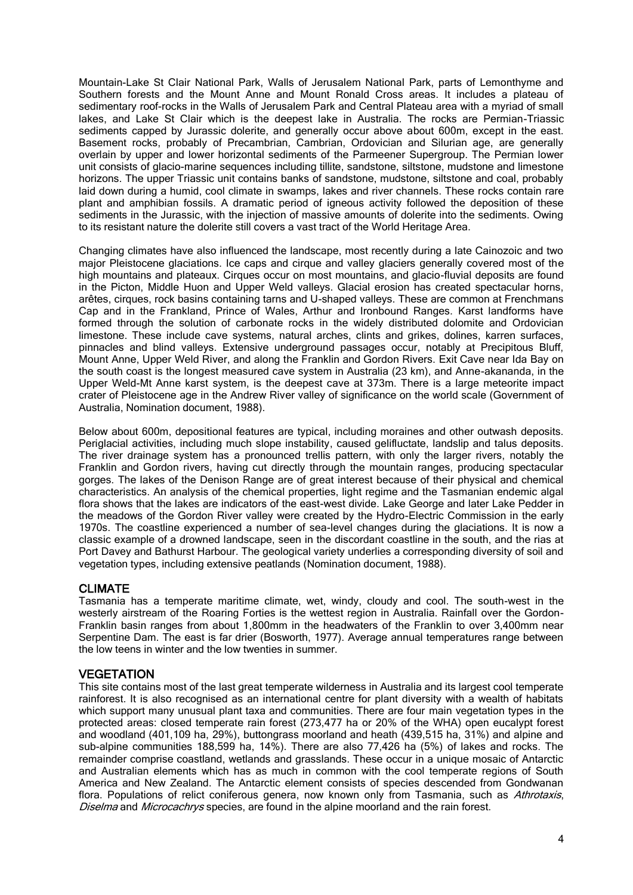Mountain-Lake St Clair National Park, Walls of Jerusalem National Park, parts of Lemonthyme and Southern forests and the Mount Anne and Mount Ronald Cross areas. It includes a plateau of sedimentary roof-rocks in the Walls of Jerusalem Park and Central Plateau area with a myriad of small lakes, and Lake St Clair which is the deepest lake in Australia. The rocks are Permian-Triassic sediments capped by Jurassic dolerite, and generally occur above about 600m, except in the east. Basement rocks, probably of Precambrian, Cambrian, Ordovician and Silurian age, are generally overlain by upper and lower horizontal sediments of the Parmeener Supergroup. The Permian lower unit consists of glacio-marine sequences including tillite, sandstone, siltstone, mudstone and limestone horizons. The upper Triassic unit contains banks of sandstone, mudstone, siltstone and coal, probably laid down during a humid, cool climate in swamps, lakes and river channels. These rocks contain rare plant and amphibian fossils. A dramatic period of igneous activity followed the deposition of these sediments in the Jurassic, with the injection of massive amounts of dolerite into the sediments. Owing to its resistant nature the dolerite still covers a vast tract of the World Heritage Area.

Changing climates have also influenced the landscape, most recently during a late Cainozoic and two major Pleistocene glaciations. Ice caps and cirque and valley glaciers generally covered most of the high mountains and plateaux. Cirques occur on most mountains, and glacio-fluvial deposits are found in the Picton, Middle Huon and Upper Weld valleys. Glacial erosion has created spectacular horns, arêtes, cirques, rock basins containing tarns and U-shaped valleys. These are common at Frenchmans Cap and in the Frankland, Prince of Wales, Arthur and Ironbound Ranges. Karst landforms have formed through the solution of carbonate rocks in the widely distributed dolomite and Ordovician limestone. These include cave systems, natural arches, clints and grikes, dolines, karren surfaces, pinnacles and blind valleys. Extensive underground passages occur, notably at Precipitous Bluff, Mount Anne, Upper Weld River, and along the Franklin and Gordon Rivers. Exit Cave near Ida Bay on the south coast is the longest measured cave system in Australia (23 km), and Anne-akananda, in the Upper Weld-Mt Anne karst system, is the deepest cave at 373m. There is a large meteorite impact crater of Pleistocene age in the Andrew River valley of significance on the world scale (Government of Australia, Nomination document, 1988).

Below about 600m, depositional features are typical, including moraines and other outwash deposits. Periglacial activities, including much slope instability, caused gelifluctate, landslip and talus deposits. The river drainage system has a pronounced trellis pattern, with only the larger rivers, notably the Franklin and Gordon rivers, having cut directly through the mountain ranges, producing spectacular gorges. The lakes of the Denison Range are of great interest because of their physical and chemical characteristics. An analysis of the chemical properties, light regime and the Tasmanian endemic algal flora shows that the lakes are indicators of the east-west divide. Lake George and later Lake Pedder in the meadows of the Gordon River valley were created by the Hydro-Electric Commission in the early 1970s. The coastline experienced a number of sea-level changes during the glaciations. It is now a classic example of a drowned landscape, seen in the discordant coastline in the south, and the rias at Port Davey and Bathurst Harbour. The geological variety underlies a corresponding diversity of soil and vegetation types, including extensive peatlands (Nomination document, 1988).

# CLIMATE

Tasmania has a temperate maritime climate, wet, windy, cloudy and cool. The south-west in the westerly airstream of the Roaring Forties is the wettest region in Australia. Rainfall over the Gordon-Franklin basin ranges from about 1,800mm in the headwaters of the Franklin to over 3,400mm near Serpentine Dam. The east is far drier (Bosworth, 1977). Average annual temperatures range between the low teens in winter and the low twenties in summer.

# **VEGETATION**

This site contains most of the last great temperate wilderness in Australia and its largest cool temperate rainforest. It is also recognised as an international centre for plant diversity with a wealth of habitats which support many unusual plant taxa and communities. There are four main vegetation types in the protected areas: closed temperate rain forest (273,477 ha or 20% of the WHA) open eucalypt forest and woodland (401,109 ha, 29%), buttongrass moorland and heath (439,515 ha, 31%) and alpine and sub-alpine communities 188,599 ha, 14%). There are also 77,426 ha (5%) of lakes and rocks. The remainder comprise coastland, wetlands and grasslands. These occur in a unique mosaic of Antarctic and Australian elements which has as much in common with the cool temperate regions of South America and New Zealand. The Antarctic element consists of species descended from Gondwanan flora. Populations of relict coniferous genera, now known only from Tasmania, such as Athrotaxis, Diselma and Microcachrys species, are found in the alpine moorland and the rain forest.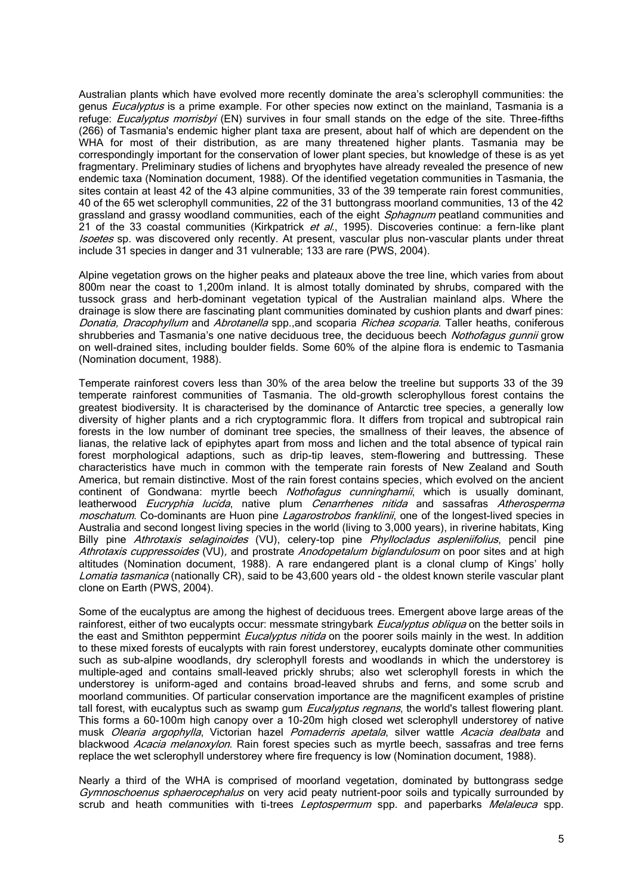Australian plants which have evolved more recently dominate the area's sclerophyll communities: the genus *Eucalyptus* is a prime example. For other species now extinct on the mainland, Tasmania is a refuge: *Eucalyptus morrisbyi* (EN) survives in four small stands on the edge of the site. Three-fifths (266) of Tasmania's endemic higher plant taxa are present, about half of which are dependent on the WHA for most of their distribution, as are many threatened higher plants. Tasmania may be correspondingly important for the conservation of lower plant species, but knowledge of these is as yet fragmentary. Preliminary studies of lichens and bryophytes have already revealed the presence of new endemic taxa (Nomination document, 1988). Of the identified vegetation communities in Tasmania, the sites contain at least 42 of the 43 alpine communities, 33 of the 39 temperate rain forest communities, 40 of the 65 wet sclerophyll communities, 22 of the 31 buttongrass moorland communities, 13 of the 42 grassland and grassy woodland communities, each of the eight Sphagnum peatland communities and 21 of the 33 coastal communities (Kirkpatrick et al., 1995). Discoveries continue: a fern-like plant Isoetes sp. was discovered only recently. At present, vascular plus non-vascular plants under threat include 31 species in danger and 31 vulnerable; 133 are rare (PWS, 2004).

Alpine vegetation grows on the higher peaks and plateaux above the tree line, which varies from about 800m near the coast to 1,200m inland. It is almost totally dominated by shrubs, compared with the tussock grass and herb-dominant vegetation typical of the Australian mainland alps. Where the drainage is slow there are fascinating plant communities dominated by cushion plants and dwarf pines: Donatia, Dracophyllum and Abrotanella spp., and scoparia Richea scoparia. Taller heaths, coniferous shrubberies and Tasmania's one native deciduous tree, the deciduous beech Nothofagus gunnii grow on well-drained sites, including boulder fields. Some 60% of the alpine flora is endemic to Tasmania (Nomination document, 1988).

Temperate rainforest covers less than 30% of the area below the treeline but supports 33 of the 39 temperate rainforest communities of Tasmania. The old-growth sclerophyllous forest contains the greatest biodiversity. It is characterised by the dominance of Antarctic tree species, a generally low diversity of higher plants and a rich cryptogrammic flora. It differs from tropical and subtropical rain forests in the low number of dominant tree species, the smallness of their leaves, the absence of lianas, the relative lack of epiphytes apart from moss and lichen and the total absence of typical rain forest morphological adaptions, such as drip-tip leaves, stem-flowering and buttressing. These characteristics have much in common with the temperate rain forests of New Zealand and South America, but remain distinctive. Most of the rain forest contains species, which evolved on the ancient continent of Gondwana: myrtle beech *Nothofagus cunninghamii*, which is usually dominant, leatherwood *Eucryphia lucida*, native plum *Cenarrhenes nitida* and sassafras *Atherosperma* moschatum. Co-dominants are Huon pine *Lagarostrobos franklinii*, one of the longest-lived species in Australia and second longest living species in the world (living to 3,000 years), in riverine habitats, King Billy pine Athrotaxis selaginoides (VU), celery-top pine Phyllocladus aspleniifolius, pencil pine Athrotaxis cuppressoides (VU), and prostrate Anodopetalum biglandulosum on poor sites and at high altitudes (Nomination document, 1988). A rare endangered plant is a clonal clump of Kings' holly Lomatia tasmanica (nationally CR), said to be 43,600 years old - the oldest known sterile vascular plant clone on Earth (PWS, 2004).

Some of the eucalyptus are among the highest of deciduous trees. Emergent above large areas of the rainforest, either of two eucalypts occur: messmate stringybark *Eucalyptus obliqua* on the better soils in the east and Smithton peppermint *Eucalyptus nitida* on the poorer soils mainly in the west. In addition to these mixed forests of eucalypts with rain forest understorey, eucalypts dominate other communities such as sub-alpine woodlands, dry sclerophyll forests and woodlands in which the understorey is multiple-aged and contains small-leaved prickly shrubs; also wet sclerophyll forests in which the understorey is uniform-aged and contains broad-leaved shrubs and ferns, and some scrub and moorland communities. Of particular conservation importance are the magnificent examples of pristine tall forest, with eucalyptus such as swamp gum *Eucalyptus regnans*, the world's tallest flowering plant. This forms a 60-100m high canopy over a 10-20m high closed wet sclerophyll understorey of native musk Olearia argophylla, Victorian hazel Pomaderris apetala, silver wattle Acacia dealbata and blackwood Acacia melanoxylon. Rain forest species such as myrtle beech, sassafras and tree ferns replace the wet sclerophyll understorey where fire frequency is low (Nomination document, 1988).

Nearly a third of the WHA is comprised of moorland vegetation, dominated by buttongrass sedge Gymnoschoenus sphaerocephalus on very acid peaty nutrient-poor soils and typically surrounded by scrub and heath communities with ti-trees *Leptospermum* spp. and paperbarks *Melaleuca* spp.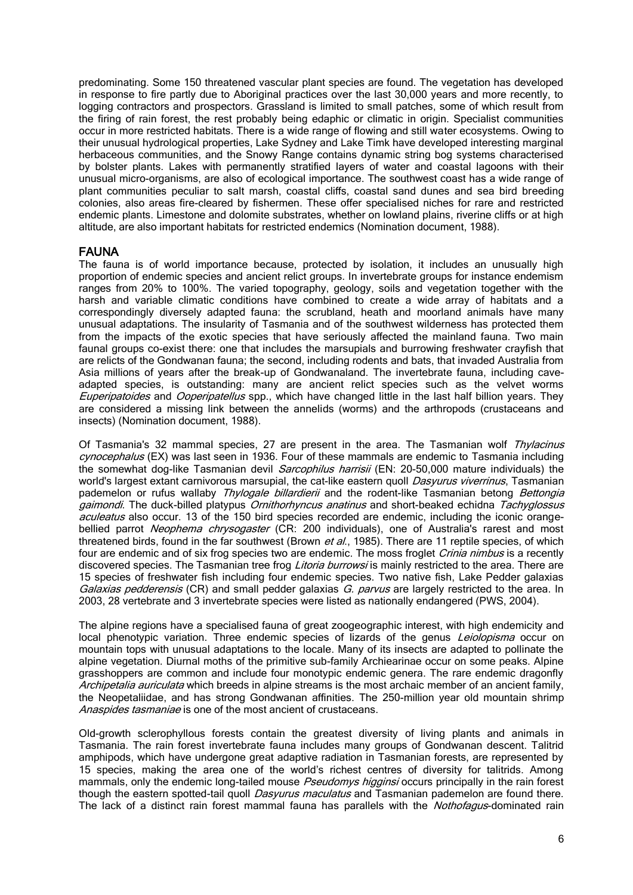predominating. Some 150 threatened vascular plant species are found. The vegetation has developed in response to fire partly due to Aboriginal practices over the last 30,000 years and more recently, to logging contractors and prospectors. Grassland is limited to small patches, some of which result from the firing of rain forest, the rest probably being edaphic or climatic in origin. Specialist communities occur in more restricted habitats. There is a wide range of flowing and still water ecosystems. Owing to their unusual hydrological properties, Lake Sydney and Lake Timk have developed interesting marginal herbaceous communities, and the Snowy Range contains dynamic string bog systems characterised by bolster plants. Lakes with permanently stratified layers of water and coastal lagoons with their unusual micro-organisms, are also of ecological importance. The southwest coast has a wide range of plant communities peculiar to salt marsh, coastal cliffs, coastal sand dunes and sea bird breeding colonies, also areas fire-cleared by fishermen. These offer specialised niches for rare and restricted endemic plants. Limestone and dolomite substrates, whether on lowland plains, riverine cliffs or at high altitude, are also important habitats for restricted endemics (Nomination document, 1988).

#### FAUNA

The fauna is of world importance because, protected by isolation, it includes an unusually high proportion of endemic species and ancient relict groups. In invertebrate groups for instance endemism ranges from 20% to 100%. The varied topography, geology, soils and vegetation together with the harsh and variable climatic conditions have combined to create a wide array of habitats and a correspondingly diversely adapted fauna: the scrubland, heath and moorland animals have many unusual adaptations. The insularity of Tasmania and of the southwest wilderness has protected them from the impacts of the exotic species that have seriously affected the mainland fauna. Two main faunal groups co-exist there: one that includes the marsupials and burrowing freshwater crayfish that are relicts of the Gondwanan fauna; the second, including rodents and bats, that invaded Australia from Asia millions of years after the break-up of Gondwanaland. The invertebrate fauna, including caveadapted species, is outstanding: many are ancient relict species such as the velvet worms Euperipatoides and *Ooperipatellus* spp., which have changed little in the last half billion years. They are considered a missing link between the annelids (worms) and the arthropods (crustaceans and insects) (Nomination document, 1988).

Of Tasmania's 32 mammal species, 27 are present in the area. The Tasmanian wolf Thylacinus cynocephalus (EX) was last seen in 1936. Four of these mammals are endemic to Tasmania including the somewhat dog-like Tasmanian devil Sarcophilus harrisii (EN: 20-50,000 mature individuals) the world's largest extant carnivorous marsupial, the cat-like eastern quoll *Dasyurus viverrinus*, Tasmanian pademelon or rufus wallaby Thylogale billardierii and the rodent-like Tasmanian betong Bettongia gaimondi. The duck-billed platypus Ornithorhyncus anatinus and short-beaked echidna Tachyglossus aculeatus also occur. 13 of the 150 bird species recorded are endemic, including the iconic orangebellied parrot Neophema chrysogaster (CR: 200 individuals), one of Australia's rarest and most threatened birds, found in the far southwest (Brown et al., 1985). There are 11 reptile species, of which four are endemic and of six frog species two are endemic. The moss froglet *Crinia nimbus* is a recently discovered species. The Tasmanian tree frog Litoria burrowsi is mainly restricted to the area. There are 15 species of freshwater fish including four endemic species. Two native fish, Lake Pedder galaxias Galaxias pedderensis (CR) and small pedder galaxias G. parvus are largely restricted to the area. In 2003, 28 vertebrate and 3 invertebrate species were listed as nationally endangered (PWS, 2004).

The alpine regions have a specialised fauna of great zoogeographic interest, with high endemicity and local phenotypic variation. Three endemic species of lizards of the genus *Leiolopisma* occur on mountain tops with unusual adaptations to the locale. Many of its insects are adapted to pollinate the alpine vegetation. Diurnal moths of the primitive sub-family Archiearinae occur on some peaks. Alpine grasshoppers are common and include four monotypic endemic genera. The rare endemic dragonfly Archipetalia auriculata which breeds in alpine streams is the most archaic member of an ancient family, the Neopetaliidae, and has strong Gondwanan affinities. The 250-million year old mountain shrimp Anaspides tasmaniae is one of the most ancient of crustaceans.

Old-growth sclerophyllous forests contain the greatest diversity of living plants and animals in Tasmania. The rain forest invertebrate fauna includes many groups of Gondwanan descent. Talitrid amphipods, which have undergone great adaptive radiation in Tasmanian forests, are represented by 15 species, making the area one of the world's richest centres of diversity for talitrids. Among mammals, only the endemic long-tailed mouse *Pseudomys higginsi* occurs principally in the rain forest though the eastern spotted-tail quoll *Dasyurus maculatus* and Tasmanian pademelon are found there. The lack of a distinct rain forest mammal fauna has parallels with the *Nothofagus*-dominated rain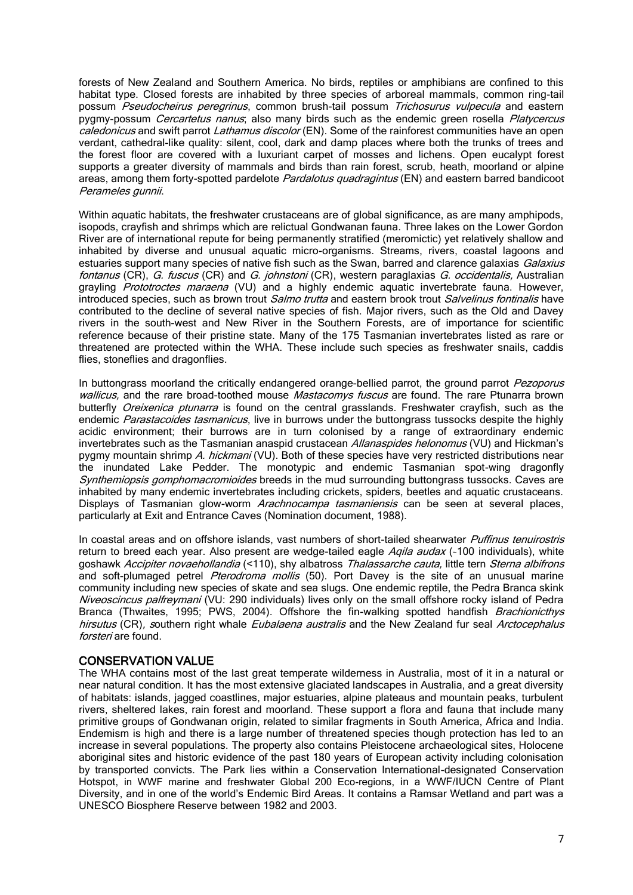forests of New Zealand and Southern America. No birds, reptiles or amphibians are confined to this habitat type. Closed forests are inhabited by three species of arboreal mammals, common ring-tail possum *Pseudocheirus peregrinus*, common brush-tail possum Trichosurus vulpecula and eastern pygmy-possum Cercartetus nanus; also many birds such as the endemic green rosella Platycercus caledonicus and swift parrot Lathamus discolor (EN). Some of the rainforest communities have an open verdant, cathedral-like quality: silent, cool, dark and damp places where both the trunks of trees and the forest floor are covered with a luxuriant carpet of mosses and lichens. Open eucalypt forest supports a greater diversity of mammals and birds than rain forest, scrub, heath, moorland or alpine areas, among them forty-spotted pardelote *Pardalotus quadragintus* (EN) and eastern barred bandicoot Perameles gunnii.

Within aquatic habitats, the freshwater crustaceans are of global significance, as are many amphipods, isopods, crayfish and shrimps which are relictual Gondwanan fauna. Three lakes on the Lower Gordon River are of international repute for being permanently stratified (meromictic) yet relatively shallow and inhabited by diverse and unusual aquatic micro-organisms. Streams, rivers, coastal lagoons and estuaries support many species of native fish such as the Swan, barred and clarence galaxias Galaxius fontanus (CR), G. fuscus (CR) and G. johnstoni (CR), western paraglaxias G. occidentalis, Australian grayling Prototroctes maraena (VU) and a highly endemic aquatic invertebrate fauna. However, introduced species, such as brown trout Salmo trutta and eastern brook trout Salvelinus fontinalis have contributed to the decline of several native species of fish. Major rivers, such as the Old and Davey rivers in the south-west and New River in the Southern Forests, are of importance for scientific reference because of their pristine state. Many of the 175 Tasmanian invertebrates listed as rare or threatened are protected within the WHA. These include such species as freshwater snails, caddis flies, stoneflies and dragonflies.

In buttongrass moorland the critically endangered orange-bellied parrot, the ground parrot Pezoporus wallicus, and the rare broad-toothed mouse Mastacomys fuscus are found. The rare Ptunarra brown butterfly Oreixenica ptunarra is found on the central grasslands. Freshwater crayfish, such as the endemic Parastacoides tasmanicus, live in burrows under the buttongrass tussocks despite the highly acidic environment; their burrows are in turn colonised by a range of extraordinary endemic invertebrates such as the Tasmanian anaspid crustacean Allanaspides helonomus (VU) and Hickman's pygmy mountain shrimp A. hickmani (VU). Both of these species have very restricted distributions near the inundated Lake Pedder. The monotypic and endemic Tasmanian spot-wing dragonfly Synthemiopsis gomphomacromioides breeds in the mud surrounding buttongrass tussocks. Caves are inhabited by many endemic invertebrates including crickets, spiders, beetles and aquatic crustaceans. Displays of Tasmanian glow-worm *Arachnocampa tasmaniensis* can be seen at several places, particularly at Exit and Entrance Caves (Nomination document, 1988).

In coastal areas and on offshore islands, vast numbers of short-tailed shearwater Puffinus tenuirostris return to breed each year. Also present are wedge-tailed eagle Agila audax (~100 individuals), white goshawk Accipiter novaehollandia (<110), shy albatross Thalassarche cauta, little tern Sterna albifrons and soft-plumaged petrel *Pterodroma mollis* (50). Port Davey is the site of an unusual marine community including new species of skate and sea slugs. One endemic reptile, the Pedra Branca skink Niveoscincus palfreymani (VU: 290 individuals) lives only on the small offshore rocky island of Pedra Branca (Thwaites, 1995; PWS, 2004). Offshore the fin-walking spotted handfish *Brachionicthys* hirsutus (CR), southern right whale *Eubalaena australis* and the New Zealand fur seal *Arctocephalus* forsteri are found.

#### CONSERVATION VALUE

The WHA contains most of the last great temperate wilderness in Australia, most of it in a natural or near natural condition. It has the most extensive glaciated landscapes in Australia, and a great diversity of habitats: islands, jagged coastlines, major estuaries, alpine plateaus and mountain peaks, turbulent rivers, sheltered lakes, rain forest and moorland. These support a flora and fauna that include many primitive groups of Gondwanan origin, related to similar fragments in South America, Africa and India. Endemism is high and there is a large number of threatened species though protection has led to an increase in several populations. The property also contains Pleistocene archaeological sites, Holocene aboriginal sites and historic evidence of the past 180 years of European activity including colonisation by transported convicts. The Park lies within a Conservation International-designated Conservation Hotspot, in WWF marine and freshwater Global 200 Eco-regions, in a WWF/IUCN Centre of Plant Diversity, and in one of the world's Endemic Bird Areas. It contains a Ramsar Wetland and part was a UNESCO Biosphere Reserve between 1982 and 2003.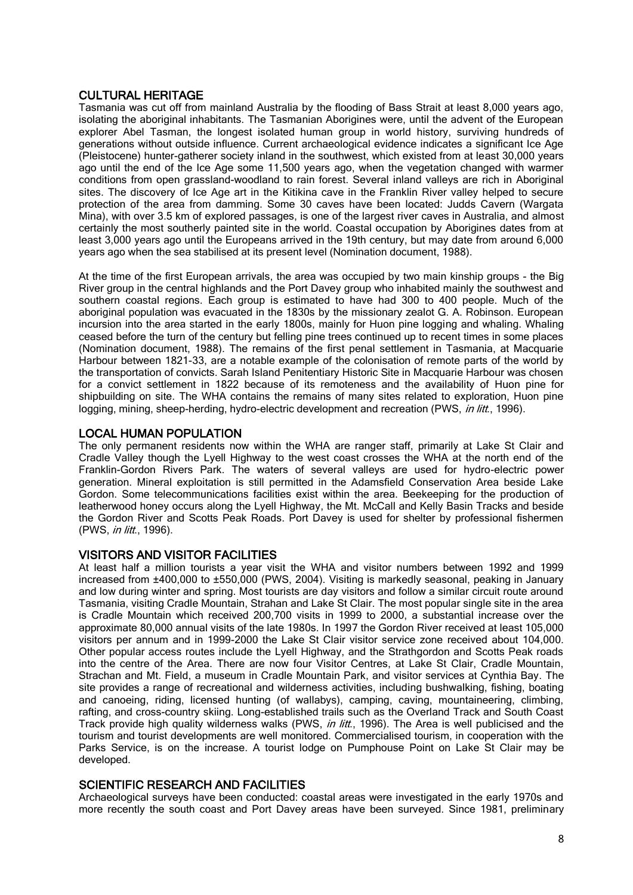# CULTURAL HERITAGE

Tasmania was cut off from mainland Australia by the flooding of Bass Strait at least 8,000 years ago, isolating the aboriginal inhabitants. The Tasmanian Aborigines were, until the advent of the European explorer Abel Tasman, the longest isolated human group in world history, surviving hundreds of generations without outside influence. Current archaeological evidence indicates a significant Ice Age (Pleistocene) hunter-gatherer society inland in the southwest, which existed from at least 30,000 years ago until the end of the Ice Age some 11,500 years ago, when the vegetation changed with warmer conditions from open grassland-woodland to rain forest. Several inland valleys are rich in Aboriginal sites. The discovery of Ice Age art in the Kitikina cave in the Franklin River valley helped to secure protection of the area from damming. Some 30 caves have been located: Judds Cavern (Wargata Mina), with over 3.5 km of explored passages, is one of the largest river caves in Australia, and almost certainly the most southerly painted site in the world. Coastal occupation by Aborigines dates from at least 3,000 years ago until the Europeans arrived in the 19th century, but may date from around 6,000 years ago when the sea stabilised at its present level (Nomination document, 1988).

At the time of the first European arrivals, the area was occupied by two main kinship groups - the Big River group in the central highlands and the Port Davey group who inhabited mainly the southwest and southern coastal regions. Each group is estimated to have had 300 to 400 people. Much of the aboriginal population was evacuated in the 1830s by the missionary zealot G. A. Robinson. European incursion into the area started in the early 1800s, mainly for Huon pine logging and whaling. Whaling ceased before the turn of the century but felling pine trees continued up to recent times in some places (Nomination document, 1988). The remains of the first penal settlement in Tasmania, at Macquarie Harbour between 1821-33, are a notable example of the colonisation of remote parts of the world by the transportation of convicts. Sarah Island Penitentiary Historic Site in Macquarie Harbour was chosen for a convict settlement in 1822 because of its remoteness and the availability of Huon pine for shipbuilding on site. The WHA contains the remains of many sites related to exploration, Huon pine logging, mining, sheep-herding, hydro-electric development and recreation (PWS, *in litt.*, 1996).

# LOCAL HUMAN POPULATION

The only permanent residents now within the WHA are ranger staff, primarily at Lake St Clair and Cradle Valley though the Lyell Highway to the west coast crosses the WHA at the north end of the Franklin-Gordon Rivers Park. The waters of several valleys are used for hydro-electric power generation. Mineral exploitation is still permitted in the Adamsfield Conservation Area beside Lake Gordon. Some telecommunications facilities exist within the area. Beekeeping for the production of leatherwood honey occurs along the Lyell Highway, the Mt. McCall and Kelly Basin Tracks and beside the Gordon River and Scotts Peak Roads. Port Davey is used for shelter by professional fishermen (PWS, in litt., 1996).

# VISITORS AND VISITOR FACILITIES

At least half a million tourists a year visit the WHA and visitor numbers between 1992 and 1999 increased from ±400,000 to ±550,000 (PWS, 2004). Visiting is markedly seasonal, peaking in January and low during winter and spring. Most tourists are day visitors and follow a similar circuit route around Tasmania, visiting Cradle Mountain, Strahan and Lake St Clair. The most popular single site in the area is Cradle Mountain which received 200,700 visits in 1999 to 2000, a substantial increase over the approximate 80,000 annual visits of the late 1980s. In 1997 the Gordon River received at least 105,000 visitors per annum and in 1999-2000 the Lake St Clair visitor service zone received about 104,000. Other popular access routes include the Lyell Highway, and the Strathgordon and Scotts Peak roads into the centre of the Area. There are now four Visitor Centres, at Lake St Clair, Cradle Mountain, Strachan and Mt. Field, a museum in Cradle Mountain Park, and visitor services at Cynthia Bay. The site provides a range of recreational and wilderness activities, including bushwalking, fishing, boating and canoeing, riding, licensed hunting (of wallabys), camping, caving, mountaineering, climbing, rafting, and cross-country skiing. Long-established trails such as the Overland Track and South Coast Track provide high quality wilderness walks (PWS, in litt., 1996). The Area is well publicised and the tourism and tourist developments are well monitored. Commercialised tourism, in cooperation with the Parks Service, is on the increase. A tourist lodge on Pumphouse Point on Lake St Clair may be developed.

#### SCIENTIFIC RESEARCH AND FACILITIES

Archaeological surveys have been conducted: coastal areas were investigated in the early 1970s and more recently the south coast and Port Davey areas have been surveyed. Since 1981, preliminary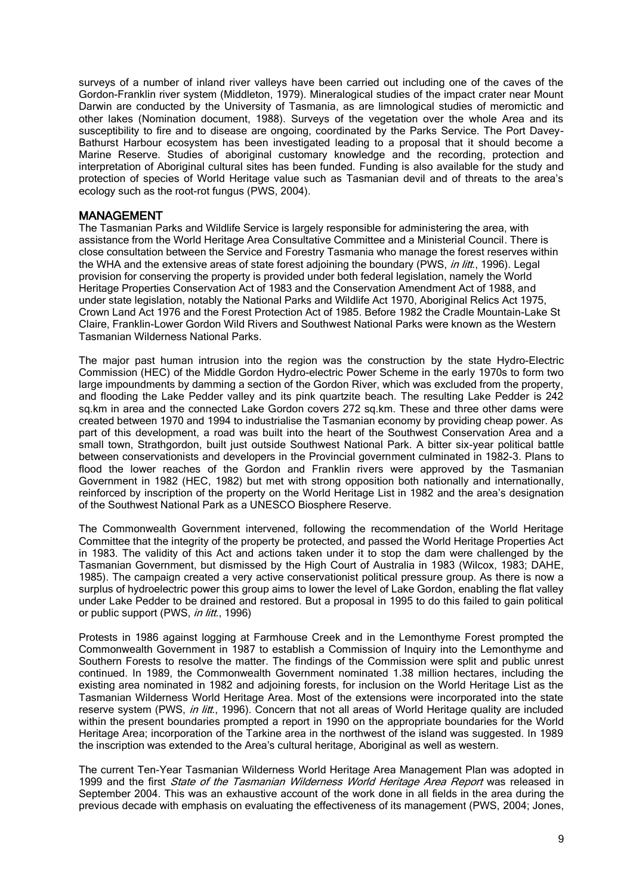surveys of a number of inland river valleys have been carried out including one of the caves of the Gordon-Franklin river system (Middleton, 1979). Mineralogical studies of the impact crater near Mount Darwin are conducted by the University of Tasmania, as are limnological studies of meromictic and other lakes (Nomination document, 1988). Surveys of the vegetation over the whole Area and its susceptibility to fire and to disease are ongoing, coordinated by the Parks Service. The Port Davey-Bathurst Harbour ecosystem has been investigated leading to a proposal that it should become a Marine Reserve. Studies of aboriginal customary knowledge and the recording, protection and interpretation of Aboriginal cultural sites has been funded. Funding is also available for the study and protection of species of World Heritage value such as Tasmanian devil and of threats to the area's ecology such as the root-rot fungus (PWS, 2004).

#### MANAGEMENT

The Tasmanian Parks and Wildlife Service is largely responsible for administering the area, with assistance from the World Heritage Area Consultative Committee and a Ministerial Council. There is close consultation between the Service and Forestry Tasmania who manage the forest reserves within the WHA and the extensive areas of state forest adjoining the boundary (PWS, in litt., 1996). Legal provision for conserving the property is provided under both federal legislation, namely the World Heritage Properties Conservation Act of 1983 and the Conservation Amendment Act of 1988, and under state legislation, notably the National Parks and Wildlife Act 1970, Aboriginal Relics Act 1975, Crown Land Act 1976 and the Forest Protection Act of 1985. Before 1982 the Cradle Mountain-Lake St Claire, Franklin-Lower Gordon Wild Rivers and Southwest National Parks were known as the Western Tasmanian Wilderness National Parks.

The major past human intrusion into the region was the construction by the state Hydro-Electric Commission (HEC) of the Middle Gordon Hydro-electric Power Scheme in the early 1970s to form two large impoundments by damming a section of the Gordon River, which was excluded from the property, and flooding the Lake Pedder valley and its pink quartzite beach. The resulting Lake Pedder is 242 sq.km in area and the connected Lake Gordon covers 272 sq.km. These and three other dams were created between 1970 and 1994 to industrialise the Tasmanian economy by providing cheap power. As part of this development, a road was built into the heart of the Southwest Conservation Area and a small town, Strathgordon, built just outside Southwest National Park. A bitter six-year political battle between conservationists and developers in the Provincial government culminated in 1982-3. Plans to flood the lower reaches of the Gordon and Franklin rivers were approved by the Tasmanian Government in 1982 (HEC, 1982) but met with strong opposition both nationally and internationally, reinforced by inscription of the property on the World Heritage List in 1982 and the area's designation of the Southwest National Park as a UNESCO Biosphere Reserve.

The Commonwealth Government intervened, following the recommendation of the World Heritage Committee that the integrity of the property be protected, and passed the World Heritage Properties Act in 1983. The validity of this Act and actions taken under it to stop the dam were challenged by the Tasmanian Government, but dismissed by the High Court of Australia in 1983 (Wilcox, 1983; DAHE, 1985). The campaign created a very active conservationist political pressure group. As there is now a surplus of hydroelectric power this group aims to lower the level of Lake Gordon, enabling the flat valley under Lake Pedder to be drained and restored. But a proposal in 1995 to do this failed to gain political or public support (PWS, *in litt.*, 1996)

Protests in 1986 against logging at Farmhouse Creek and in the Lemonthyme Forest prompted the Commonwealth Government in 1987 to establish a Commission of Inquiry into the Lemonthyme and Southern Forests to resolve the matter. The findings of the Commission were split and public unrest continued. In 1989, the Commonwealth Government nominated 1.38 million hectares, including the existing area nominated in 1982 and adjoining forests, for inclusion on the World Heritage List as the Tasmanian Wilderness World Heritage Area. Most of the extensions were incorporated into the state reserve system (PWS, in litt., 1996). Concern that not all areas of World Heritage quality are included within the present boundaries prompted a report in 1990 on the appropriate boundaries for the World Heritage Area; incorporation of the Tarkine area in the northwest of the island was suggested. In 1989 the inscription was extended to the Area's cultural heritage, Aboriginal as well as western.

The current Ten-Year Tasmanian Wilderness World Heritage Area Management Plan was adopted in 1999 and the first *State of the Tasmanian Wilderness World Heritage Area Report* was released in September 2004. This was an exhaustive account of the work done in all fields in the area during the previous decade with emphasis on evaluating the effectiveness of its management (PWS, 2004; Jones,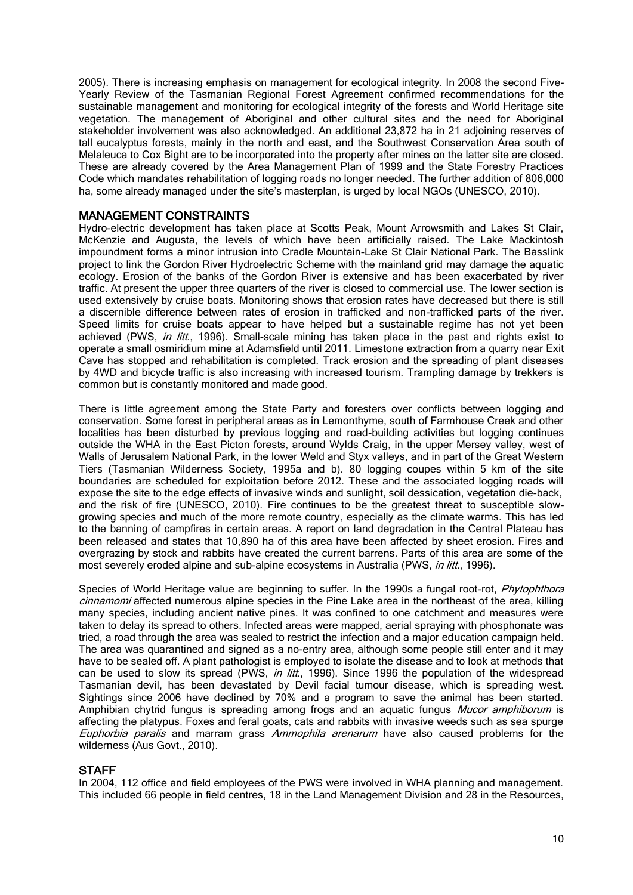2005). There is increasing emphasis on management for ecological integrity. In 2008 the second Five-Yearly Review of the Tasmanian Regional Forest Agreement confirmed recommendations for the sustainable management and monitoring for ecological integrity of the forests and World Heritage site vegetation. The management of Aboriginal and other cultural sites and the need for Aboriginal stakeholder involvement was also acknowledged. An additional 23,872 ha in 21 adjoining reserves of tall eucalyptus forests, mainly in the north and east, and the Southwest Conservation Area south of Melaleuca to Cox Bight are to be incorporated into the property after mines on the latter site are closed. These are already covered by the Area Management Plan of 1999 and the State Forestry Practices Code which mandates rehabilitation of logging roads no longer needed. The further addition of 806,000 ha, some already managed under the site's masterplan, is urged by local NGOs (UNESCO, 2010).

### MANAGEMENT CONSTRAINTS

Hydro-electric development has taken place at Scotts Peak, Mount Arrowsmith and Lakes St Clair, McKenzie and Augusta, the levels of which have been artificially raised. The Lake Mackintosh impoundment forms a minor intrusion into Cradle Mountain-Lake St Clair National Park. The Basslink project to link the Gordon River Hydroelectric Scheme with the mainland grid may damage the aquatic ecology. Erosion of the banks of the Gordon River is extensive and has been exacerbated by river traffic. At present the upper three quarters of the river is closed to commercial use. The lower section is used extensively by cruise boats. Monitoring shows that erosion rates have decreased but there is still a discernible difference between rates of erosion in trafficked and non-trafficked parts of the river. Speed limits for cruise boats appear to have helped but a sustainable regime has not yet been achieved (PWS, *in litt.*, 1996). Small-scale mining has taken place in the past and rights exist to operate a small osmiridium mine at Adamsfield until 2011. Limestone extraction from a quarry near Exit Cave has stopped and rehabilitation is completed. Track erosion and the spreading of plant diseases by 4WD and bicycle traffic is also increasing with increased tourism. Trampling damage by trekkers is common but is constantly monitored and made good.

There is little agreement among the State Party and foresters over conflicts between logging and conservation. Some forest in peripheral areas as in Lemonthyme, south of Farmhouse Creek and other localities has been disturbed by previous logging and road-building activities but logging continues outside the WHA in the East Picton forests, around Wylds Craig, in the upper Mersey valley, west of Walls of Jerusalem National Park, in the lower Weld and Styx valleys, and in part of the Great Western Tiers (Tasmanian Wilderness Society, 1995a and b). 80 logging coupes within 5 km of the site boundaries are scheduled for exploitation before 2012. These and the associated logging roads will expose the site to the edge effects of invasive winds and sunlight, soil dessication, vegetation die-back, and the risk of fire (UNESCO, 2010). Fire continues to be the greatest threat to susceptible slowgrowing species and much of the more remote country, especially as the climate warms. This has led to the banning of campfires in certain areas. A report on land degradation in the Central Plateau has been released and states that 10,890 ha of this area have been affected by sheet erosion. Fires and overgrazing by stock and rabbits have created the current barrens. Parts of this area are some of the most severely eroded alpine and sub-alpine ecosystems in Australia (PWS, *in litt.*, 1996).

Species of World Heritage value are beginning to suffer. In the 1990s a fungal root-rot, *Phytophthora* cinnamomi affected numerous alpine species in the Pine Lake area in the northeast of the area, killing many species, including ancient native pines. It was confined to one catchment and measures were taken to delay its spread to others. Infected areas were mapped, aerial spraying with phosphonate was tried, a road through the area was sealed to restrict the infection and a major education campaign held. The area was quarantined and signed as a no-entry area, although some people still enter and it may have to be sealed off. A plant pathologist is employed to isolate the disease and to look at methods that can be used to slow its spread (PWS, in litt., 1996). Since 1996 the population of the widespread Tasmanian devil, has been devastated by Devil facial tumour disease, which is spreading west. Sightings since 2006 have declined by 70% and a program to save the animal has been started. Amphibian chytrid fungus is spreading among frogs and an aquatic fungus Mucor amphiborum is affecting the platypus. Foxes and feral goats, cats and rabbits with invasive weeds such as sea spurge Euphorbia paralis and marram grass Ammophila arenarum have also caused problems for the wilderness (Aus Govt., 2010).

#### **STAFF**

In 2004, 112 office and field employees of the PWS were involved in WHA planning and management. This included 66 people in field centres, 18 in the Land Management Division and 28 in the Resources,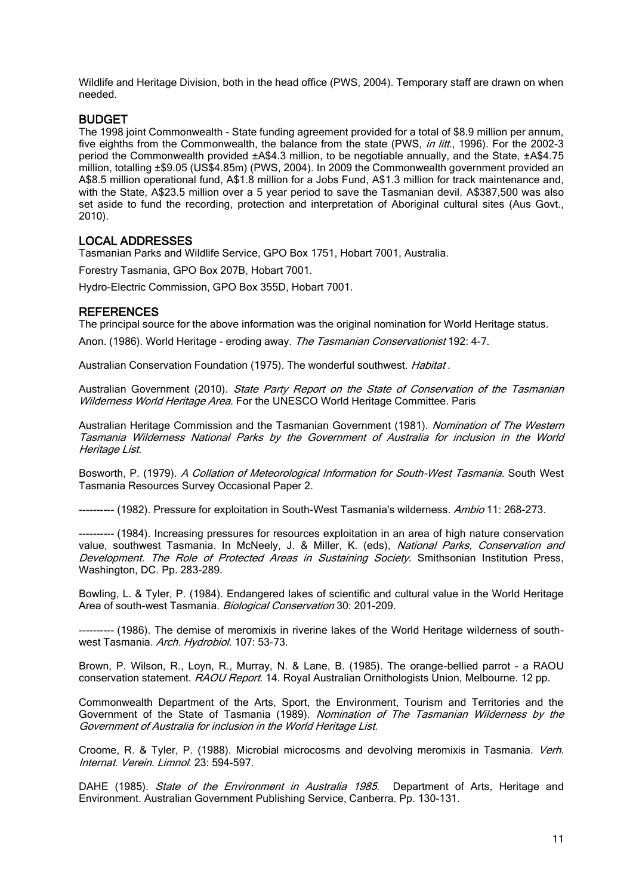Wildlife and Heritage Division, both in the head office (PWS, 2004). Temporary staff are drawn on when needed.

### BUDGET

The 1998 joint Commonwealth - State funding agreement provided for a total of \$8.9 million per annum, five eighths from the Commonwealth, the balance from the state (PWS, in litt., 1996). For the 2002-3 period the Commonwealth provided ±A\$4.3 million, to be negotiable annually, and the State, ±A\$4.75 million, totalling ±\$9.05 (US\$4.85m) (PWS, 2004). In 2009 the Commonwealth government provided an A\$8.5 million operational fund, A\$1.8 million for a Jobs Fund, A\$1.3 million for track maintenance and, with the State, A\$23.5 million over a 5 year period to save the Tasmanian devil. A\$387,500 was also set aside to fund the recording, protection and interpretation of Aboriginal cultural sites (Aus Govt., 2010).

# LOCAL ADDRESSES

Tasmanian Parks and Wildlife Service, GPO Box 1751, Hobart 7001, Australia.

Forestry Tasmania, GPO Box 207B, Hobart 7001.

Hydro-Electric Commission, GPO Box 355D, Hobart 7001.

#### **REFERENCES**

The principal source for the above information was the original nomination for World Heritage status.

Anon. (1986). World Heritage - eroding away. The Tasmanian Conservationist 192: 4-7.

Australian Conservation Foundation (1975). The wonderful southwest. Habitat.

Australian Government (2010). State Party Report on the State of Conservation of the Tasmanian Wilderness World Heritage Area. For the UNESCO World Heritage Committee. Paris

Australian Heritage Commission and the Tasmanian Government (1981). Nomination of The Western Tasmania Wilderness National Parks by the Government of Australia for inclusion in the World Heritage List.

Bosworth, P. (1979). A Collation of Meteorological Information for South-West Tasmania. South West Tasmania Resources Survey Occasional Paper 2.

---------- (1982). Pressure for exploitation in South-West Tasmania's wilderness. Ambio 11: 268-273.

---------- (1984). Increasing pressures for resources exploitation in an area of high nature conservation value, southwest Tasmania. In McNeely, J. & Miller, K. (eds), National Parks, Conservation and Development. The Role of Protected Areas in Sustaining Society. Smithsonian Institution Press, Washington, DC. Pp. 283-289.

Bowling, L. & Tyler, P. (1984). Endangered lakes of scientific and cultural value in the World Heritage Area of south-west Tasmania. Biological Conservation 30: 201-209.

--- (1986). The demise of meromixis in riverine lakes of the World Heritage wilderness of southwest Tasmania. Arch. Hydrobiol. 107: 53-73.

Brown, P. Wilson, R., Loyn, R., Murray, N. & Lane, B. (1985). The orange-bellied parrot - a RAOU conservation statement. RAOU Report. 14. Royal Australian Ornithologists Union, Melbourne. 12 pp.

Commonwealth Department of the Arts, Sport, the Environment, Tourism and Territories and the Government of the State of Tasmania (1989). Nomination of The Tasmanian Wilderness by the Government of Australia for inclusion in the World Heritage List.

Croome, R. & Tyler, P. (1988). Microbial microcosms and devolving meromixis in Tasmania. Verh. Internat. Verein. Limnol. 23: 594-597.

DAHE (1985). State of the Environment in Australia 1985. Department of Arts, Heritage and Environment. Australian Government Publishing Service, Canberra. Pp. 130-131.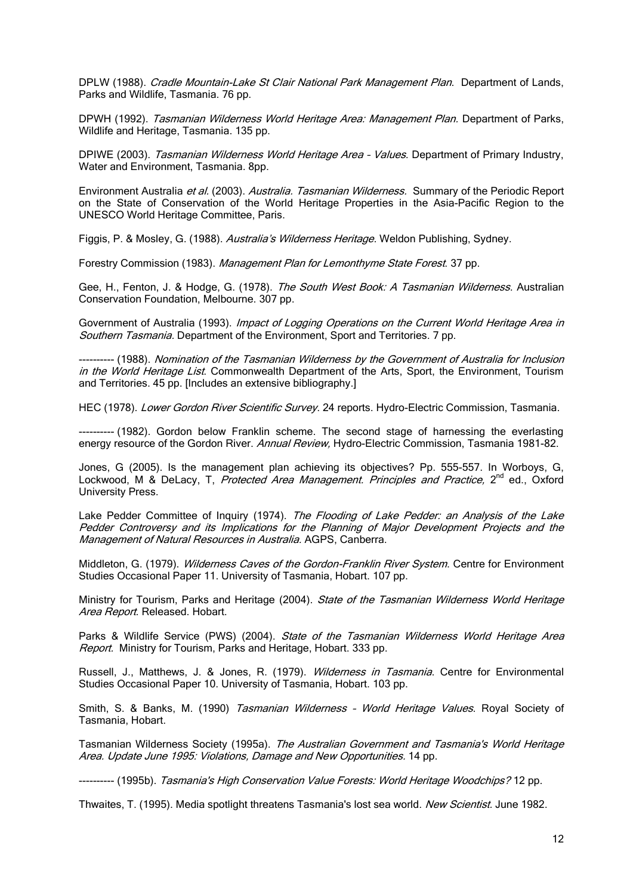DPLW (1988). Cradle Mountain-Lake St Clair National Park Management Plan. Department of Lands, Parks and Wildlife, Tasmania. 76 pp.

DPWH (1992). Tasmanian Wilderness World Heritage Area: Management Plan. Department of Parks, Wildlife and Heritage, Tasmania. 135 pp.

DPIWE (2003). Tasmanian Wilderness World Heritage Area - Values. Department of Primary Industry, Water and Environment, Tasmania. 8pp.

Environment Australia et al. (2003). Australia. Tasmanian Wilderness. Summary of the Periodic Report on the State of Conservation of the World Heritage Properties in the Asia-Pacific Region to the UNESCO World Heritage Committee, Paris.

Figgis, P. & Mosley, G. (1988). Australia's Wilderness Heritage. Weldon Publishing, Sydney.

Forestry Commission (1983). Management Plan for Lemonthyme State Forest. 37 pp.

Gee, H., Fenton, J. & Hodge, G. (1978). The South West Book: A Tasmanian Wilderness. Australian Conservation Foundation, Melbourne. 307 pp.

Government of Australia (1993). Impact of Logging Operations on the Current World Heritage Area in Southern Tasmania. Department of the Environment, Sport and Territories. 7 pp.

---------- (1988). Nomination of the Tasmanian Wilderness by the Government of Australia for Inclusion in the World Heritage List. Commonwealth Department of the Arts, Sport, the Environment, Tourism and Territories. 45 pp. [Includes an extensive bibliography.]

HEC (1978). Lower Gordon River Scientific Survey. 24 reports. Hydro-Electric Commission, Tasmania.

---------- (1982). Gordon below Franklin scheme. The second stage of harnessing the everlasting energy resource of the Gordon River. Annual Review, Hydro-Electric Commission, Tasmania 1981-82.

Jones, G (2005). Is the management plan achieving its objectives? Pp. 555-557. In Worboys, G, Lockwood, M & DeLacy, T, Protected Area Management. Principles and Practice, 2<sup>nd</sup> ed., Oxford University Press.

Lake Pedder Committee of Inquiry (1974). The Flooding of Lake Pedder: an Analysis of the Lake Pedder Controversy and its Implications for the Planning of Major Development Projects and the Management of Natural Resources in Australia. AGPS, Canberra.

Middleton, G. (1979). Wilderness Caves of the Gordon-Franklin River System. Centre for Environment Studies Occasional Paper 11. University of Tasmania, Hobart. 107 pp.

Ministry for Tourism, Parks and Heritage (2004). State of the Tasmanian Wilderness World Heritage Area Report. Released. Hobart.

Parks & Wildlife Service (PWS) (2004). State of the Tasmanian Wilderness World Heritage Area Report. Ministry for Tourism, Parks and Heritage, Hobart. 333 pp.

Russell, J., Matthews, J. & Jones, R. (1979). Wilderness in Tasmania. Centre for Environmental Studies Occasional Paper 10. University of Tasmania, Hobart. 103 pp.

Smith, S. & Banks, M. (1990) Tasmanian Wilderness - World Heritage Values. Royal Society of Tasmania, Hobart.

Tasmanian Wilderness Society (1995a). The Australian Government and Tasmania's World Heritage Area. Update June 1995: Violations, Damage and New Opportunities. 14 pp.

---------- (1995b). Tasmania's High Conservation Value Forests: World Heritage Woodchips? 12 pp.

Thwaites, T. (1995). Media spotlight threatens Tasmania's lost sea world. New Scientist. June 1982.